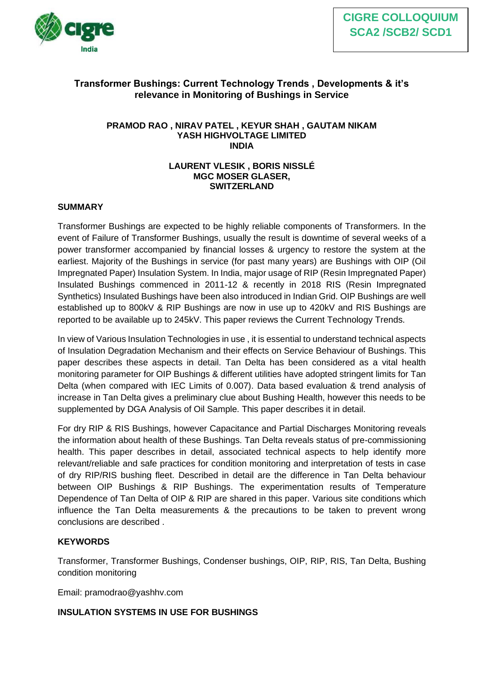

# **Transformer Bushings: Current Technology Trends , Developments & it's relevance in Monitoring of Bushings in Service**

#### **PRAMOD RAO , NIRAV PATEL , KEYUR SHAH , GAUTAM NIKAM YASH HIGHVOLTAGE LIMITED INDIA**

## **LAURENT VLESIK , BORIS NISSLÉ MGC MOSER GLASER, SWITZERLAND**

## **SUMMARY**

Transformer Bushings are expected to be highly reliable components of Transformers. In the event of Failure of Transformer Bushings, usually the result is downtime of several weeks of a power transformer accompanied by financial losses & urgency to restore the system at the earliest. Majority of the Bushings in service (for past many years) are Bushings with OIP (Oil Impregnated Paper) Insulation System. In India, major usage of RIP (Resin Impregnated Paper) Insulated Bushings commenced in 2011-12 & recently in 2018 RIS (Resin Impregnated Synthetics) Insulated Bushings have been also introduced in Indian Grid. OIP Bushings are well established up to 800kV & RIP Bushings are now in use up to 420kV and RIS Bushings are reported to be available up to 245kV. This paper reviews the Current Technology Trends.

In view of Various Insulation Technologies in use , it is essential to understand technical aspects of Insulation Degradation Mechanism and their effects on Service Behaviour of Bushings. This paper describes these aspects in detail. Tan Delta has been considered as a vital health monitoring parameter for OIP Bushings & different utilities have adopted stringent limits for Tan Delta (when compared with IEC Limits of 0.007). Data based evaluation & trend analysis of increase in Tan Delta gives a preliminary clue about Bushing Health, however this needs to be supplemented by DGA Analysis of Oil Sample. This paper describes it in detail.

For dry RIP & RIS Bushings, however Capacitance and Partial Discharges Monitoring reveals the information about health of these Bushings. Tan Delta reveals status of pre-commissioning health. This paper describes in detail, associated technical aspects to help identify more relevant/reliable and safe practices for condition monitoring and interpretation of tests in case of dry RIP/RIS bushing fleet. Described in detail are the difference in Tan Delta behaviour between OIP Bushings & RIP Bushings. The experimentation results of Temperature Dependence of Tan Delta of OIP & RIP are shared in this paper. Various site conditions which influence the Tan Delta measurements & the precautions to be taken to prevent wrong conclusions are described .

## **KEYWORDS**

Transformer, Transformer Bushings, Condenser bushings, OIP, RIP, RIS, Tan Delta, Bushing condition monitoring

Email: pramodrao@yashhv.com

## **INSULATION SYSTEMS IN USE FOR BUSHINGS**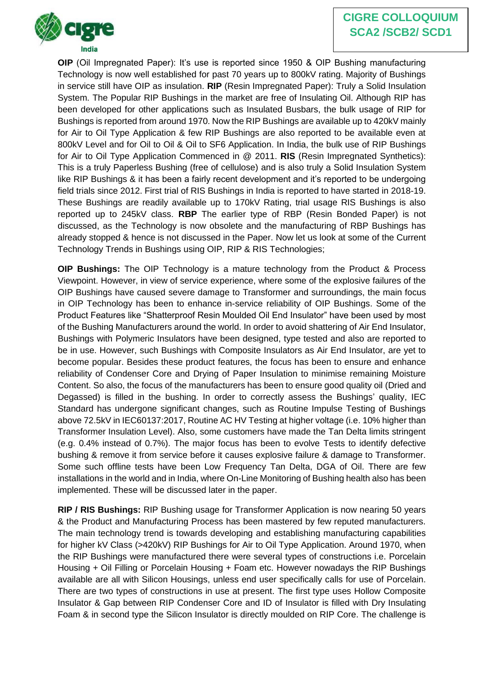# **CIGRE COLLOQUIUM SCA2 /SCB2/ SCD1**



**OIP** (Oil Impregnated Paper): It's use is reported since 1950 & OIP Bushing manufacturing Technology is now well established for past 70 years up to 800kV rating. Majority of Bushings in service still have OIP as insulation. **RIP** (Resin Impregnated Paper): Truly a Solid Insulation System. The Popular RIP Bushings in the market are free of Insulating Oil. Although RIP has been developed for other applications such as Insulated Busbars, the bulk usage of RIP for Bushings is reported from around 1970. Now the RIP Bushings are available up to 420kV mainly for Air to Oil Type Application & few RIP Bushings are also reported to be available even at 800kV Level and for Oil to Oil & Oil to SF6 Application. In India, the bulk use of RIP Bushings for Air to Oil Type Application Commenced in @ 2011. **RIS** (Resin Impregnated Synthetics): This is a truly Paperless Bushing (free of cellulose) and is also truly a Solid Insulation System like RIP Bushings & it has been a fairly recent development and it's reported to be undergoing field trials since 2012. First trial of RIS Bushings in India is reported to have started in 2018-19. These Bushings are readily available up to 170kV Rating, trial usage RIS Bushings is also reported up to 245kV class. **RBP** The earlier type of RBP (Resin Bonded Paper) is not discussed, as the Technology is now obsolete and the manufacturing of RBP Bushings has already stopped & hence is not discussed in the Paper. Now let us look at some of the Current Technology Trends in Bushings using OIP, RIP & RIS Technologies;

**OIP Bushings:** The OIP Technology is a mature technology from the Product & Process Viewpoint. However, in view of service experience, where some of the explosive failures of the OIP Bushings have caused severe damage to Transformer and surroundings, the main focus in OIP Technology has been to enhance in-service reliability of OIP Bushings. Some of the Product Features like "Shatterproof Resin Moulded Oil End Insulator" have been used by most of the Bushing Manufacturers around the world. In order to avoid shattering of Air End Insulator, Bushings with Polymeric Insulators have been designed, type tested and also are reported to be in use. However, such Bushings with Composite Insulators as Air End Insulator, are yet to become popular. Besides these product features, the focus has been to ensure and enhance reliability of Condenser Core and Drying of Paper Insulation to minimise remaining Moisture Content. So also, the focus of the manufacturers has been to ensure good quality oil (Dried and Degassed) is filled in the bushing. In order to correctly assess the Bushings' quality, IEC Standard has undergone significant changes, such as Routine Impulse Testing of Bushings above 72.5kV in IEC60137:2017, Routine AC HV Testing at higher voltage (i.e. 10% higher than Transformer Insulation Level). Also, some customers have made the Tan Delta limits stringent (e.g. 0.4% instead of 0.7%). The major focus has been to evolve Tests to identify defective bushing & remove it from service before it causes explosive failure & damage to Transformer. Some such offline tests have been Low Frequency Tan Delta, DGA of Oil. There are few installations in the world and in India, where On-Line Monitoring of Bushing health also has been implemented. These will be discussed later in the paper.

**RIP / RIS Bushings:** RIP Bushing usage for Transformer Application is now nearing 50 years & the Product and Manufacturing Process has been mastered by few reputed manufacturers. The main technology trend is towards developing and establishing manufacturing capabilities for higher kV Class (>420kV) RIP Bushings for Air to Oil Type Application. Around 1970, when the RIP Bushings were manufactured there were several types of constructions i.e. Porcelain Housing + Oil Filling or Porcelain Housing + Foam etc. However nowadays the RIP Bushings available are all with Silicon Housings, unless end user specifically calls for use of Porcelain. There are two types of constructions in use at present. The first type uses Hollow Composite Insulator & Gap between RIP Condenser Core and ID of Insulator is filled with Dry Insulating Foam & in second type the Silicon Insulator is directly moulded on RIP Core. The challenge is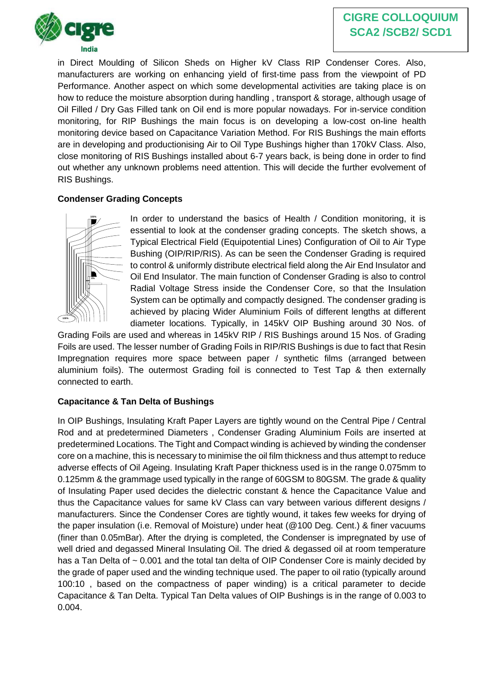

in Direct Moulding of Silicon Sheds on Higher kV Class RIP Condenser Cores. Also, manufacturers are working on enhancing yield of first-time pass from the viewpoint of PD Performance. Another aspect on which some developmental activities are taking place is on how to reduce the moisture absorption during handling , transport & storage, although usage of Oil Filled / Dry Gas Filled tank on Oil end is more popular nowadays. For in-service condition monitoring, for RIP Bushings the main focus is on developing a low-cost on-line health monitoring device based on Capacitance Variation Method. For RIS Bushings the main efforts are in developing and productionising Air to Oil Type Bushings higher than 170kV Class. Also, close monitoring of RIS Bushings installed about 6-7 years back, is being done in order to find out whether any unknown problems need attention. This will decide the further evolvement of RIS Bushings.

## **Condenser Grading Concepts**



In order to understand the basics of Health / Condition monitoring, it is essential to look at the condenser grading concepts. The sketch shows, a Typical Electrical Field (Equipotential Lines) Configuration of Oil to Air Type Bushing (OIP/RIP/RIS). As can be seen the Condenser Grading is required to control & uniformly distribute electrical field along the Air End Insulator and Oil End Insulator. The main function of Condenser Grading is also to control Radial Voltage Stress inside the Condenser Core, so that the Insulation System can be optimally and compactly designed. The condenser grading is achieved by placing Wider Aluminium Foils of different lengths at different diameter locations. Typically, in 145kV OIP Bushing around 30 Nos. of

Grading Foils are used and whereas in 145kV RIP / RIS Bushings around 15 Nos. of Grading Foils are used. The lesser number of Grading Foils in RIP/RIS Bushings is due to fact that Resin Impregnation requires more space between paper / synthetic films (arranged between aluminium foils). The outermost Grading foil is connected to Test Tap & then externally connected to earth.

# **Capacitance & Tan Delta of Bushings**

In OIP Bushings, Insulating Kraft Paper Layers are tightly wound on the Central Pipe / Central Rod and at predetermined Diameters , Condenser Grading Aluminium Foils are inserted at predetermined Locations. The Tight and Compact winding is achieved by winding the condenser core on a machine, this is necessary to minimise the oil film thickness and thus attempt to reduce adverse effects of Oil Ageing. Insulating Kraft Paper thickness used is in the range 0.075mm to 0.125mm & the grammage used typically in the range of 60GSM to 80GSM. The grade & quality of Insulating Paper used decides the dielectric constant & hence the Capacitance Value and thus the Capacitance values for same kV Class can vary between various different designs / manufacturers. Since the Condenser Cores are tightly wound, it takes few weeks for drying of the paper insulation (i.e. Removal of Moisture) under heat (@100 Deg. Cent.) & finer vacuums (finer than 0.05mBar). After the drying is completed, the Condenser is impregnated by use of well dried and degassed Mineral Insulating Oil. The dried & degassed oil at room temperature has a Tan Delta of ~ 0.001 and the total tan delta of OIP Condenser Core is mainly decided by the grade of paper used and the winding technique used. The paper to oil ratio (typically around 100:10 , based on the compactness of paper winding) is a critical parameter to decide Capacitance & Tan Delta. Typical Tan Delta values of OIP Bushings is in the range of 0.003 to 0.004.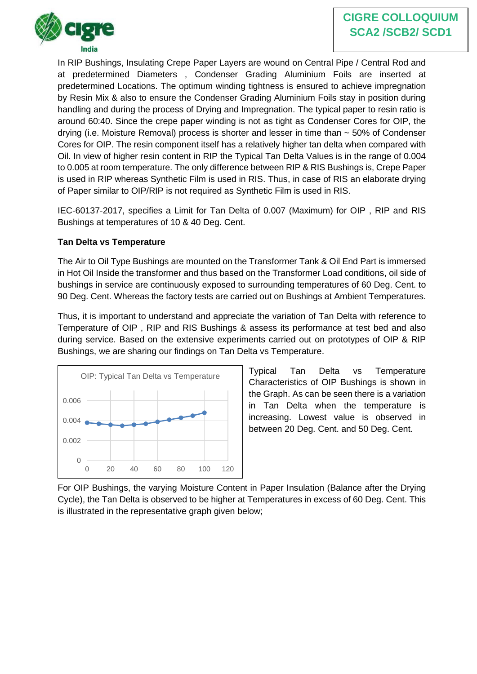In RIP Bushings, Insulating Crepe Paper Layers are wound on Central Pipe / Central Rod and at predetermined Diameters , Condenser Grading Aluminium Foils are inserted at predetermined Locations. The optimum winding tightness is ensured to achieve impregnation by Resin Mix & also to ensure the Condenser Grading Aluminium Foils stay in position during handling and during the process of Drying and Impregnation. The typical paper to resin ratio is around 60:40. Since the crepe paper winding is not as tight as Condenser Cores for OIP, the drying (i.e. Moisture Removal) process is shorter and lesser in time than ~ 50% of Condenser Cores for OIP. The resin component itself has a relatively higher tan delta when compared with Oil. In view of higher resin content in RIP the Typical Tan Delta Values is in the range of 0.004 to 0.005 at room temperature. The only difference between RIP & RIS Bushings is, Crepe Paper is used in RIP whereas Synthetic Film is used in RIS. Thus, in case of RIS an elaborate drying of Paper similar to OIP/RIP is not required as Synthetic Film is used in RIS.

IEC-60137-2017, specifies a Limit for Tan Delta of 0.007 (Maximum) for OIP , RIP and RIS Bushings at temperatures of 10 & 40 Deg. Cent.

# **Tan Delta vs Temperature**

The Air to Oil Type Bushings are mounted on the Transformer Tank & Oil End Part is immersed in Hot Oil Inside the transformer and thus based on the Transformer Load conditions, oil side of bushings in service are continuously exposed to surrounding temperatures of 60 Deg. Cent. to 90 Deg. Cent. Whereas the factory tests are carried out on Bushings at Ambient Temperatures.

Thus, it is important to understand and appreciate the variation of Tan Delta with reference to Temperature of OIP , RIP and RIS Bushings & assess its performance at test bed and also during service. Based on the extensive experiments carried out on prototypes of OIP & RIP Bushings, we are sharing our findings on Tan Delta vs Temperature.



Typical Tan Delta vs Temperature Characteristics of OIP Bushings is shown in the Graph. As can be seen there is a variation in Tan Delta when the temperature is increasing. Lowest value is observed in between 20 Deg. Cent. and 50 Deg. Cent.

For OIP Bushings, the varying Moisture Content in Paper Insulation (Balance after the Drying Cycle), the Tan Delta is observed to be higher at Temperatures in excess of 60 Deg. Cent. This is illustrated in the representative graph given below;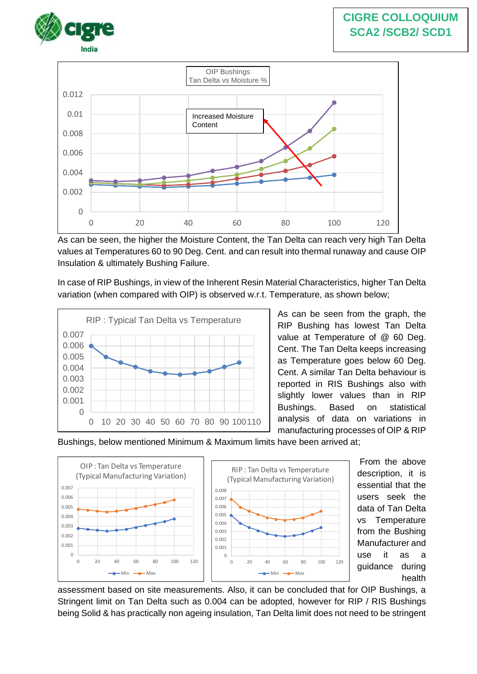



As can be seen, the higher the Moisture Content, the Tan Delta can reach very high Tan Delta values at Temperatures 60 to 90 Deg. Cent. and can result into thermal runaway and cause OIP Insulation & ultimately Bushing Failure.

In case of RIP Bushings, in view of the Inherent Resin Material Characteristics, higher Tan Delta variation (when compared with OIP) is observed w.r.t. Temperature, as shown below;



As can be seen from the graph, the RIP Bushing has lowest Tan Delta value at Temperature of @ 60 Deg. Cent. The Tan Delta keeps increasing as Temperature goes below 60 Deg. Cent. A similar Tan Delta behaviour is reported in RIS Bushings also with slightly lower values than in RIP Bushings. Based on statistical analysis of data on variations in manufacturing processes of OIP & RIP

Bushings, below mentioned Minimum & Maximum limits have been arrived at;



From the above description, it is essential that the users seek the data of Tan Delta vs Temperature from the Bushing Manufacturer and use it as a guidance during health

assessment based on site measurements. Also, it can be concluded that for OIP Bushings, a Stringent limit on Tan Delta such as 0.004 can be adopted, however for RIP / RIS Bushings being Solid & has practically non ageing insulation, Tan Delta limit does not need to be stringent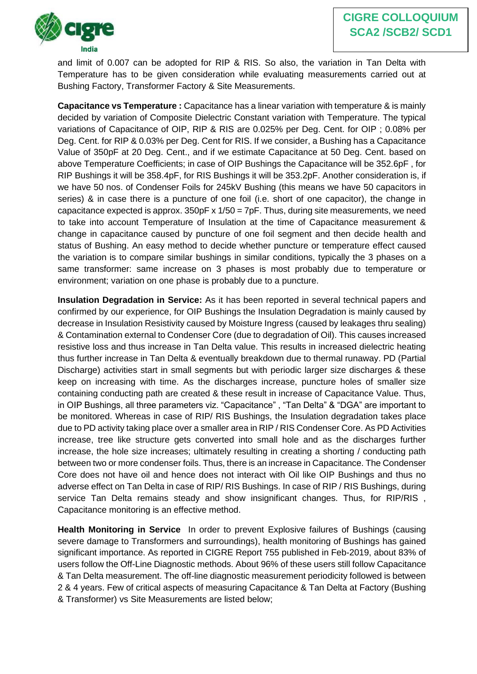

and limit of 0.007 can be adopted for RIP & RIS. So also, the variation in Tan Delta with Temperature has to be given consideration while evaluating measurements carried out at Bushing Factory, Transformer Factory & Site Measurements.

**Capacitance vs Temperature** : Capacitance has a linear variation with temperature & is mainly decided by variation of Composite Dielectric Constant variation with Temperature. The typical variations of Capacitance of OIP, RIP & RIS are 0.025% per Deg. Cent. for OIP ; 0.08% per Deg. Cent. for RIP & 0.03% per Deg. Cent for RIS. If we consider, a Bushing has a Capacitance Value of 350pF at 20 Deg. Cent., and if we estimate Capacitance at 50 Deg. Cent. based on above Temperature Coefficients; in case of OIP Bushings the Capacitance will be 352.6pF , for RIP Bushings it will be 358.4pF, for RIS Bushings it will be 353.2pF. Another consideration is, if we have 50 nos. of Condenser Foils for 245kV Bushing (this means we have 50 capacitors in series) & in case there is a puncture of one foil (i.e. short of one capacitor), the change in capacitance expected is approx. 350pF x 1/50 = 7pF. Thus, during site measurements, we need to take into account Temperature of Insulation at the time of Capacitance measurement & change in capacitance caused by puncture of one foil segment and then decide health and status of Bushing. An easy method to decide whether puncture or temperature effect caused the variation is to compare similar bushings in similar conditions, typically the 3 phases on a same transformer: same increase on 3 phases is most probably due to temperature or environment; variation on one phase is probably due to a puncture.

**Insulation Degradation in Service:** As it has been reported in several technical papers and confirmed by our experience, for OIP Bushings the Insulation Degradation is mainly caused by decrease in Insulation Resistivity caused by Moisture Ingress (caused by leakages thru sealing) & Contamination external to Condenser Core (due to degradation of Oil). This causes increased resistive loss and thus increase in Tan Delta value. This results in increased dielectric heating thus further increase in Tan Delta & eventually breakdown due to thermal runaway. PD (Partial Discharge) activities start in small segments but with periodic larger size discharges & these keep on increasing with time. As the discharges increase, puncture holes of smaller size containing conducting path are created & these result in increase of Capacitance Value. Thus, in OIP Bushings, all three parameters viz. "Capacitance" , "Tan Delta" & "DGA" are important to be monitored. Whereas in case of RIP/ RIS Bushings, the Insulation degradation takes place due to PD activity taking place over a smaller area in RIP / RIS Condenser Core. As PD Activities increase, tree like structure gets converted into small hole and as the discharges further increase, the hole size increases; ultimately resulting in creating a shorting / conducting path between two or more condenser foils. Thus, there is an increase in Capacitance. The Condenser Core does not have oil and hence does not interact with Oil like OIP Bushings and thus no adverse effect on Tan Delta in case of RIP/ RIS Bushings. In case of RIP / RIS Bushings, during service Tan Delta remains steady and show insignificant changes. Thus, for RIP/RIS, Capacitance monitoring is an effective method.

**Health Monitoring in Service** In order to prevent Explosive failures of Bushings (causing severe damage to Transformers and surroundings), health monitoring of Bushings has gained significant importance. As reported in CIGRE Report 755 published in Feb-2019, about 83% of users follow the Off-Line Diagnostic methods. About 96% of these users still follow Capacitance & Tan Delta measurement. The off-line diagnostic measurement periodicity followed is between 2 & 4 years. Few of critical aspects of measuring Capacitance & Tan Delta at Factory (Bushing & Transformer) vs Site Measurements are listed below;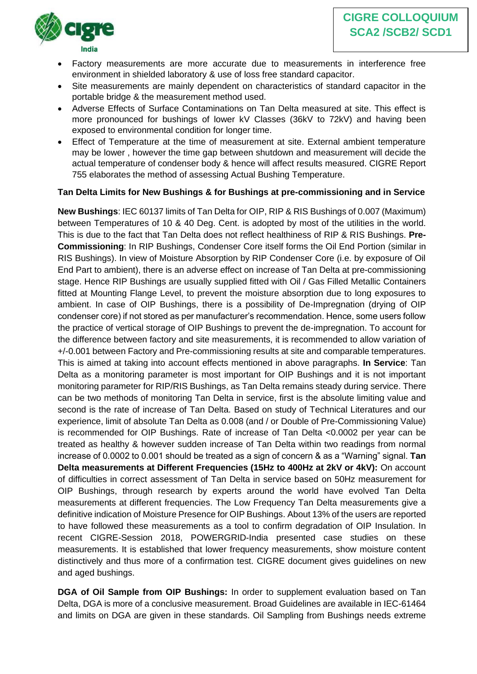

- Factory measurements are more accurate due to measurements in interference free environment in shielded laboratory & use of loss free standard capacitor.
- Site measurements are mainly dependent on characteristics of standard capacitor in the portable bridge & the measurement method used.
- Adverse Effects of Surface Contaminations on Tan Delta measured at site. This effect is more pronounced for bushings of lower kV Classes (36kV to 72kV) and having been exposed to environmental condition for longer time.
- Effect of Temperature at the time of measurement at site. External ambient temperature may be lower , however the time gap between shutdown and measurement will decide the actual temperature of condenser body & hence will affect results measured. CIGRE Report 755 elaborates the method of assessing Actual Bushing Temperature.

## **Tan Delta Limits for New Bushings & for Bushings at pre-commissioning and in Service**

**New Bushings**: IEC 60137 limits of Tan Delta for OIP, RIP & RIS Bushings of 0.007 (Maximum) between Temperatures of 10 & 40 Deg. Cent. is adopted by most of the utilities in the world. This is due to the fact that Tan Delta does not reflect healthiness of RIP & RIS Bushings. **Pre-Commissioning**: In RIP Bushings, Condenser Core itself forms the Oil End Portion (similar in RIS Bushings). In view of Moisture Absorption by RIP Condenser Core (i.e. by exposure of Oil End Part to ambient), there is an adverse effect on increase of Tan Delta at pre-commissioning stage. Hence RIP Bushings are usually supplied fitted with Oil / Gas Filled Metallic Containers fitted at Mounting Flange Level, to prevent the moisture absorption due to long exposures to ambient. In case of OIP Bushings, there is a possibility of De-Impregnation (drying of OIP condenser core) if not stored as per manufacturer's recommendation. Hence, some users follow the practice of vertical storage of OIP Bushings to prevent the de-impregnation. To account for the difference between factory and site measurements, it is recommended to allow variation of +/-0.001 between Factory and Pre-commissioning results at site and comparable temperatures. This is aimed at taking into account effects mentioned in above paragraphs. **In Service**: Tan Delta as a monitoring parameter is most important for OIP Bushings and it is not important monitoring parameter for RIP/RIS Bushings, as Tan Delta remains steady during service. There can be two methods of monitoring Tan Delta in service, first is the absolute limiting value and second is the rate of increase of Tan Delta. Based on study of Technical Literatures and our experience, limit of absolute Tan Delta as 0.008 (and / or Double of Pre-Commissioning Value) is recommended for OIP Bushings. Rate of increase of Tan Delta <0.0002 per year can be treated as healthy & however sudden increase of Tan Delta within two readings from normal increase of 0.0002 to 0.001 should be treated as a sign of concern & as a "Warning" signal. **Tan Delta measurements at Different Frequencies (15Hz to 400Hz at 2kV or 4kV):** On account of difficulties in correct assessment of Tan Delta in service based on 50Hz measurement for OIP Bushings, through research by experts around the world have evolved Tan Delta measurements at different frequencies. The Low Frequency Tan Delta measurements give a definitive indication of Moisture Presence for OIP Bushings. About 13% of the users are reported to have followed these measurements as a tool to confirm degradation of OIP Insulation. In recent CIGRE-Session 2018, POWERGRID-India presented case studies on these measurements. It is established that lower frequency measurements, show moisture content distinctively and thus more of a confirmation test. CIGRE document gives guidelines on new and aged bushings.

**DGA of Oil Sample from OIP Bushings:** In order to supplement evaluation based on Tan Delta, DGA is more of a conclusive measurement. Broad Guidelines are available in IEC-61464 and limits on DGA are given in these standards. Oil Sampling from Bushings needs extreme